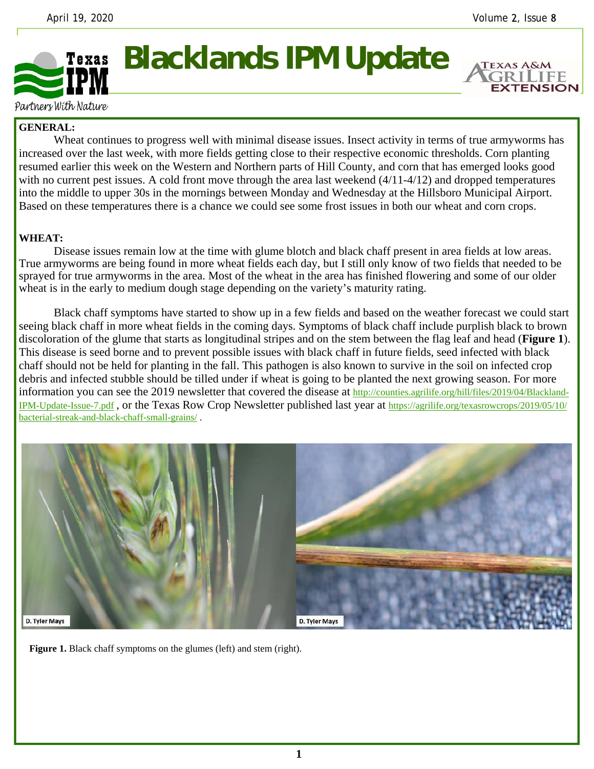**EXTENSION** 



## **Blacklands IPM Update**

Partners With Nature

## **GENERAL:**

 Wheat continues to progress well with minimal disease issues. Insect activity in terms of true armyworms has increased over the last week, with more fields getting close to their respective economic thresholds. Corn planting resumed earlier this week on the Western and Northern parts of Hill County, and corn that has emerged looks good with no current pest issues. A cold front move through the area last weekend  $(4/11-4/12)$  and dropped temperatures into the middle to upper 30s in the mornings between Monday and Wednesday at the Hillsboro Municipal Airport. Based on these temperatures there is a chance we could see some frost issues in both our wheat and corn crops.

## **WHEAT:**

 Disease issues remain low at the time with glume blotch and black chaff present in area fields at low areas. True armyworms are being found in more wheat fields each day, but I still only know of two fields that needed to be sprayed for true armyworms in the area. Most of the wheat in the area has finished flowering and some of our older wheat is in the early to medium dough stage depending on the variety's maturity rating.

 Black chaff symptoms have started to show up in a few fields and based on the weather forecast we could start seeing black chaff in more wheat fields in the coming days. Symptoms of black chaff include purplish black to brown discoloration of the glume that starts as longitudinal stripes and on the stem between the flag leaf and head (**Figure 1**). This disease is seed borne and to prevent possible issues with black chaff in future fields, seed infected with black chaff should not be held for planting in the fall. This pathogen is also known to survive in the soil on infected crop debris and infected stubble should be tilled under if wheat is going to be planted the next growing season. For more information you can see the 2019 newsletter that covered the disease at http://counties.agrilife.org/hill/files/2019/04/Blackland-IPM-Update-Issue-7.pdf , or the Texas Row Crop Newsletter published last year at https://agrilife.org/texasrowcrops/2019/05/10/ bacterial-streak-and-black-chaff-small-grains/ .



**Figure 1.** Black chaff symptoms on the glumes (left) and stem (right).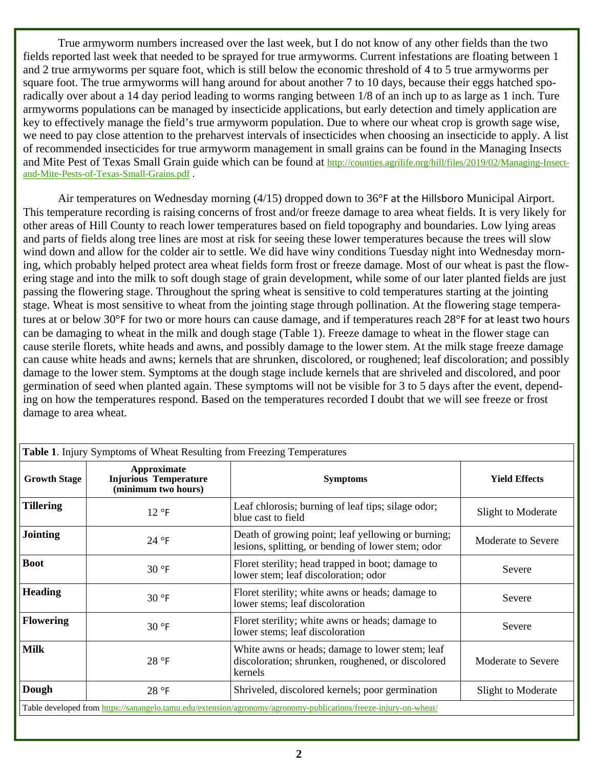True armyworm numbers increased over the last week, but I do not know of any other fields than the two fields reported last week that needed to be sprayed for true armyworms. Current infestations are floating between 1 and 2 true armyworms per square foot, which is still below the economic threshold of 4 to 5 true armyworms per square foot. The true armyworms will hang around for about another 7 to 10 days, because their eggs hatched sporadically over about a 14 day period leading to worms ranging between 1/8 of an inch up to as large as 1 inch. Ture armyworms populations can be managed by insecticide applications, but early detection and timely application are key to effectively manage the field's true armyworm population. Due to where our wheat crop is growth sage wise, we need to pay close attention to the preharvest intervals of insecticides when choosing an insecticide to apply. A list of recommended insecticides for true armyworm management in small grains can be found in the Managing Insects and Mite Pest of Texas Small Grain guide which can be found at http://counties.agrilife.org/hill/files/2019/02/Managing-Insectand-Mite-Pests-of-Texas-Small-Grains.pdf .

 Air temperatures on Wednesday morning (4/15) dropped down to 36°F at the Hillsboro Municipal Airport. This temperature recording is raising concerns of frost and/or freeze damage to area wheat fields. It is very likely for other areas of Hill County to reach lower temperatures based on field topography and boundaries. Low lying areas and parts of fields along tree lines are most at risk for seeing these lower temperatures because the trees will slow wind down and allow for the colder air to settle. We did have winy conditions Tuesday night into Wednesday morning, which probably helped protect area wheat fields form frost or freeze damage. Most of our wheat is past the flowering stage and into the milk to soft dough stage of grain development, while some of our later planted fields are just passing the flowering stage. Throughout the spring wheat is sensitive to cold temperatures starting at the jointing stage. Wheat is most sensitive to wheat from the jointing stage through pollination. At the flowering stage temperatures at or below 30°F for two or more hours can cause damage, and if temperatures reach 28°F for at least two hours can be damaging to wheat in the milk and dough stage (Table 1). Freeze damage to wheat in the flower stage can cause sterile florets, white heads and awns, and possibly damage to the lower stem. At the milk stage freeze damage can cause white heads and awns; kernels that are shrunken, discolored, or roughened; leaf discoloration; and possibly damage to the lower stem. Symptoms at the dough stage include kernels that are shriveled and discolored, and poor germination of seed when planted again. These symptoms will not be visible for 3 to 5 days after the event, depending on how the temperatures respond. Based on the temperatures recorded I doubt that we will see freeze or frost damage to area wheat.

| Table 1. Injury Symptoms of Wheat Resulting from Freezing Temperatures                                           |                                                                    |                                                                                                                 |                      |
|------------------------------------------------------------------------------------------------------------------|--------------------------------------------------------------------|-----------------------------------------------------------------------------------------------------------------|----------------------|
| <b>Growth Stage</b>                                                                                              | Approximate<br><b>Injurious Temperature</b><br>(minimum two hours) | <b>Symptoms</b>                                                                                                 | <b>Yield Effects</b> |
| <b>Tillering</b>                                                                                                 | $12°$ F                                                            | Leaf chlorosis; burning of leaf tips; silage odor;<br>blue cast to field                                        | Slight to Moderate   |
| <b>Jointing</b>                                                                                                  | 24 °F                                                              | Death of growing point; leaf yellowing or burning;<br>lesions, splitting, or bending of lower stem; odor        | Moderate to Severe   |
| <b>Boot</b>                                                                                                      | $30°$ F                                                            | Floret sterility; head trapped in boot; damage to<br>lower stem; leaf discoloration; odor                       | Severe               |
| <b>Heading</b>                                                                                                   | $30°$ F                                                            | Floret sterility; white awns or heads; damage to<br>lower stems; leaf discoloration                             | Severe               |
| <b>Flowering</b>                                                                                                 | $30°$ F                                                            | Floret sterility; white awns or heads; damage to<br>lower stems; leaf discoloration                             | Severe               |
| <b>Milk</b>                                                                                                      | 28 °F                                                              | White awns or heads; damage to lower stem; leaf<br>discoloration; shrunken, roughened, or discolored<br>kernels | Moderate to Severe   |
| Dough                                                                                                            | 28 °F                                                              | Shriveled, discolored kernels; poor germination                                                                 | Slight to Moderate   |
| Table developed from https://sanangelo.tamu.edu/extension/agronomy/agronomy-publications/freeze-injury-on-wheat/ |                                                                    |                                                                                                                 |                      |